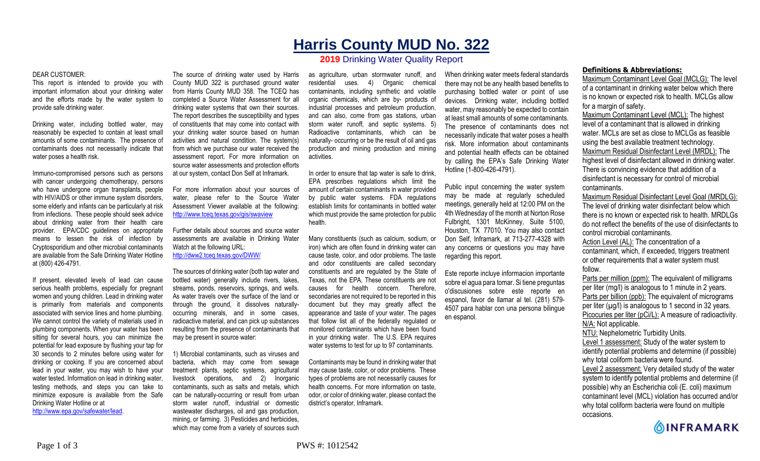# **Harris County MUD No. 322**

# **2019** Drinking Water Quality Report

#### DEAR CUSTOMER:

This report is intended to provide you with important information about your drinking water and the efforts made by the water system to provide safe drinking water.

Drinking water, including bottled water, may reasonably be expected to contain at least small amounts of some contaminants. The presence of contaminants does not necessarily indicate that water poses a health risk.

Immuno-compromised persons such as persons with cancer undergoing chemotherapy, persons who have undergone organ transplants, people with HIV/AIDS or other immune system disorders, some elderly and infants can be particularly at risk from infections. These people should seek advice about drinking water from their health care provider. EPA/CDC guidelines on appropriate means to lessen the risk of infection by Cryptosporidium and other microbial contaminants are available from the Safe Drinking Water Hotline at (800) 426-4791.

If present, elevated levels of lead can cause serious health problems, especially for pregnant women and young children. Lead in drinking water is primarily from materials and components associated with service lines and home plumbing. We cannot control the variety of materials used in plumbing components. When your water has been sitting for several hours, you can minimize the potential for lead exposure by flushing your tap for 30 seconds to 2 minutes before using water for drinking or cooking. If you are concerned about lead in your water, you may wish to have your water tested. Information on lead in drinking water, testing methods, and steps you can take to minimize exposure is available from the Safe Drinking Water Hotline or at http://www.epa.gov/safewater/lead.

The source of drinking water used by Harris County MUD 322 is purchased ground water from Harris County MUD 358. The TCEQ has completed a Source Water Assessment for all drinking water systems that own their sources. The report describes the susceptibility and types of constituents that may come into contact with your drinking water source based on human activities and natural condition. The system(s) from which we purchase our water received the assessment report. For more information on source water assessments and protection efforts at our system, contact Don Self at Inframark.

For more information about your sources of water, please refer to the Source Water Assessment Viewer available at the following: http://www.tceq.texas.gov/gis/swaview

Further details about sources and source water assessments are available in Drinking Water Watch at the following URL: http://dww2.tceq.texas.gov/DWW/

The sources of drinking water (both tap water and bottled water) generally include rivers, lakes, streams, ponds, reservoirs, springs, and wells. As water travels over the surface of the land or through the ground, it dissolves naturallyoccurring minerals, and in some cases, radioactive material, and can pick up substances resulting from the presence of contaminants that may be present in source water:

1) Microbial contaminants, such as viruses and bacteria, which may come from sewage treatment plants, septic systems, agricultural livestock operations, and 2) Inorganic contaminants, such as salts and metals, which can be naturally-occurring or result from urban storm water runoff, industrial or domestic wastewater discharges, oil and gas production, mining, or farming. 3) Pesticides and herbicides, which may come from a variety of sources such

as agriculture, urban stormwater runoff, and residential uses. 4) Organic chemical contaminants, including synthetic and volatile organic chemicals, which are by- products of industrial processes and petroleum production, and can also, come from gas stations, urban storm water runoff, and septic systems. 5) Radioactive contaminants, which can be naturally- occurring or be the result of oil and gas production and mining production and mining activities.

In order to ensure that tap water is safe to drink, EPA prescribes regulations which limit the amount of certain contaminants in water provided by public water systems. FDA regulations establish limits for contaminants in bottled water which must provide the same protection for public health.

Many constituents (such as calcium, sodium, or iron) which are often found in drinking water can cause taste, color, and odor problems. The taste and odor constituents are called secondary constituents and are regulated by the State of Texas, not the EPA. These constituents are not causes for health concern. Therefore, secondaries are not required to be reported in this document but they may greatly affect the appearance and taste of your water. The pages that follow list all of the federally regulated or monitored contaminants which have been found in your drinking water. The U.S. EPA requires water systems to test for up to 97 contaminants.

Contaminants may be found in drinking water that may cause taste, color, or odor problems. These types of problems are not necessarily causes for health concerns. For more information on taste, odor, or color of drinking water, please contact the district's operator, Inframark.

When drinking water meets federal standards there may not be any health based benefits to purchasing bottled water or point of use devices. Drinking water, including bottled water, may reasonably be expected to contain at least small amounts of some contaminants. The presence of contaminants does not necessarily indicate that water poses a health risk. More information about contaminants and potential health effects can be obtained by calling the EPA's Safe Drinking Water Hotline (1-800-426-4791).

Public input concerning the water system may be made at regularly scheduled meetings, generally held at 12:00 PM on the 4th Wednesday of the month at Norton Rose Fulbright, 1301 McKinney, Suite 5100, Houston, TX 77010. You may also contact Don Self, Inframark, at 713-277-4328 with any concerns or questions you may have regarding this report.

Este reporte incluye informacion importante sobre el agua para tomar. Si tiene preguntas o'discusiones sobre este reporte en espanol, favor de llamar al tel. (281) 579- 4507 para hablar con una persona bilingue en espanol.

## **Definitions & Abbreviations:**

Maximum Contaminant Level Goal (MCLG): The level of a contaminant in drinking water below which there is no known or expected risk to health. MCLGs allow for a margin of safety.

Maximum Contaminant Level (MCL): The highest level of a contaminant that is allowed in drinking water. MCLs are set as close to MCLGs as feasible using the best available treatment technology. Maximum Residual Disinfectant Level (MRDL): The highest level of disinfectant allowed in drinking water. There is convincing evidence that addition of a disinfectant is necessary for control of microbial contaminants.

Maximum Residual Disinfectant Level Goal (MRDLG): The level of drinking water disinfectant below which there is no known or expected risk to health. MRDLGs do not reflect the benefits of the use of disinfectants to control microbial contaminants.

Action Level (AL): The concentration of a contaminant, which, if exceeded, triggers treatment or other requirements that a water system must follow.

Parts per million (ppm): The equivalent of milligrams per liter (mg/l) is analogous to 1 minute in 2 years. Parts per billion (ppb): The equivalent of micrograms per liter  $(\mu g/l)$  is analogous to 1 second in 32 years. Picocuries per liter (pCi/L): A measure of radioactivity. N/A: Not applicable. NTU: Nephelometric Turbidity Units. Level 1 assessment: Study of the water system to

identify potential problems and determine (if possible) why total coliform bacteria were found.

Level 2 assessment: Very detailed study of the water system to identify potential problems and determine (if possible) why an Escherichia coli (E. coli) maximum contaminant level (MCL) violation has occurred and/or why total coliform bacteria were found on multiple occasions.

**OINFRAMARK**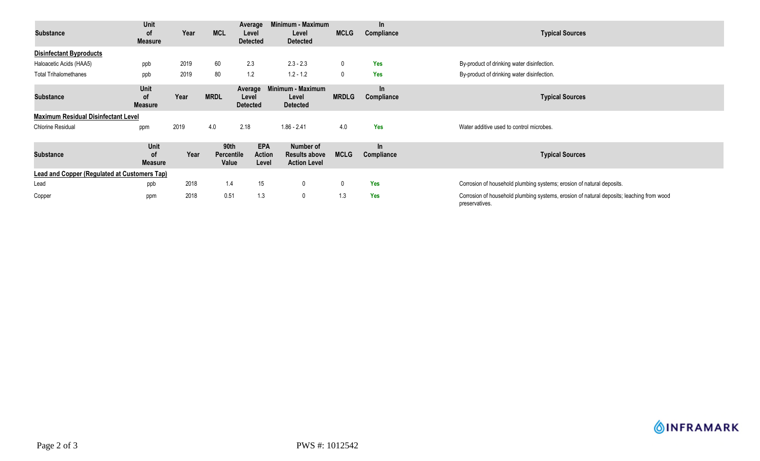| <b>Substance</b>                                    | Unit<br>0f<br><b>Measure</b>        | Year | <b>MCL</b>                         | Average<br>Level<br><b>Detected</b> | Minimum - Maximum<br>Level<br><b>Detected</b>            | <b>MCLG</b>  | $\ln$<br>Compliance | <b>Typical Sources</b>                                                                                     |
|-----------------------------------------------------|-------------------------------------|------|------------------------------------|-------------------------------------|----------------------------------------------------------|--------------|---------------------|------------------------------------------------------------------------------------------------------------|
| <b>Disinfectant Byproducts</b>                      |                                     |      |                                    |                                     |                                                          |              |                     |                                                                                                            |
| Haloacetic Acids (HAA5)                             | ppb                                 | 2019 | 60                                 | 2.3                                 | $2.3 - 2.3$                                              | 0            | <b>Yes</b>          | By-product of drinking water disinfection.                                                                 |
| <b>Total Trihalomethanes</b>                        | ppb                                 | 2019 | 80                                 | 1.2                                 | $1.2 - 1.2$                                              | 0            | <b>Yes</b>          | By-product of drinking water disinfection.                                                                 |
| <b>Substance</b>                                    | Unit<br><b>of</b><br><b>Measure</b> | Year | <b>MRDL</b>                        | Average<br>Level<br><b>Detected</b> | Minimum - Maximum<br>Level<br><b>Detected</b>            | <b>MRDLG</b> | $\ln$<br>Compliance | <b>Typical Sources</b>                                                                                     |
| <b>Maximum Residual Disinfectant Level</b>          |                                     |      |                                    |                                     |                                                          |              |                     |                                                                                                            |
| <b>Chlorine Residual</b>                            | ppm                                 | 2019 | 4.0                                | 2.18                                | $1.86 - 2.41$                                            | 4.0          | Yes                 | Water additive used to control microbes.                                                                   |
| <b>Substance</b>                                    | Unit<br><b>of</b><br><b>Measure</b> | Year | 90th<br><b>Percentile</b><br>Value | <b>EPA</b><br>Action<br>Level       | Number of<br><b>Results above</b><br><b>Action Level</b> | <b>MCLG</b>  | In<br>Compliance    | <b>Typical Sources</b>                                                                                     |
| <b>Lead and Copper (Regulated at Customers Tap)</b> |                                     |      |                                    |                                     |                                                          |              |                     |                                                                                                            |
| Lead                                                | ppb                                 | 2018 | 1.4                                | 15                                  | 0                                                        | 0            | <b>Yes</b>          | Corrosion of household plumbing systems; erosion of natural deposits.                                      |
| Copper                                              | ppm                                 | 2018 | 0.51                               | 1.3                                 | $\mathbf 0$                                              | 1.3          | <b>Yes</b>          | Corrosion of household plumbing systems, erosion of natural deposits; leaching from wood<br>preservatives. |